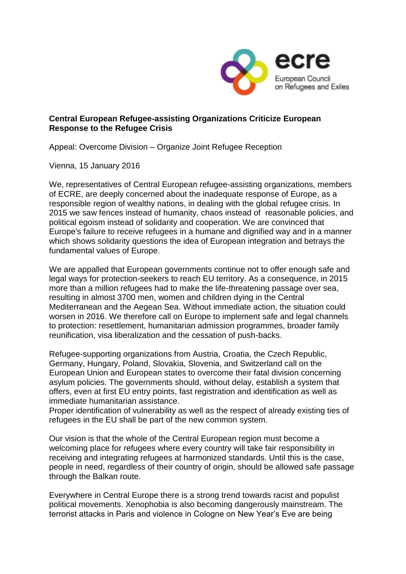

## **Central European Refugee-assisting Organizations Criticize European Response to the Refugee Crisis**

Appeal: Overcome Division – Organize Joint Refugee Reception

Vienna, 15 January 2016

We, representatives of Central European refugee-assisting organizations, members of ECRE, are deeply concerned about the inadequate response of Europe, as a responsible region of wealthy nations, in dealing with the global refugee crisis. In 2015 we saw fences instead of humanity, chaos instead of reasonable policies, and political egoism instead of solidarity and cooperation. We are convinced that Europe's failure to receive refugees in a humane and dignified way and in a manner which shows solidarity questions the idea of European integration and betrays the fundamental values of Europe.

We are appalled that European governments continue not to offer enough safe and legal ways for protection-seekers to reach EU territory. As a consequence, in 2015 more than a million refugees had to make the life-threatening passage over sea, resulting in almost 3700 men, women and children dying in the Central Mediterranean and the Aegean Sea. Without immediate action, the situation could worsen in 2016. We therefore call on Europe to implement safe and legal channels to protection: resettlement, humanitarian admission programmes, broader family reunification, visa liberalization and the cessation of push-backs.

Refugee-supporting organizations from Austria, Croatia, the Czech Republic, Germany, Hungary, Poland, Slovakia, Slovenia, and Switzerland call on the European Union and European states to overcome their fatal division concerning asylum policies. The governments should, without delay, establish a system that offers, even at first EU entry points, fast registration and identification as well as immediate humanitarian assistance.

Proper identification of vulnerability as well as the respect of already existing ties of refugees in the EU shall be part of the new common system.

Our vision is that the whole of the Central European region must become a welcoming place for refugees where every country will take fair responsibility in receiving and integrating refugees at harmonized standards. Until this is the case, people in need, regardless of their country of origin, should be allowed safe passage through the Balkan route.

Everywhere in Central Europe there is a strong trend towards racist and populist political movements. Xenophobia is also becoming dangerously mainstream. The terrorist attacks in Paris and violence in Cologne on New Year's Eve are being